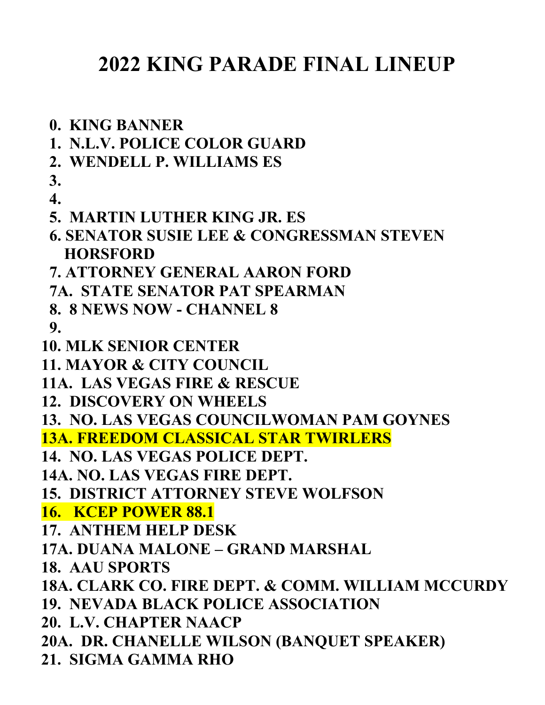## **2022 KING PARADE FINAL LINEUP**

- **0. KING BANNER**
- **1. N.L.V. POLICE COLOR GUARD**
- **2. WENDELL P. WILLIAMS ES**
- **3. 4.**
- **5. MARTIN LUTHER KING JR. ES**
- **6. SENATOR SUSIE LEE & CONGRESSMAN STEVEN HORSFORD**
- **7. ATTORNEY GENERAL AARON FORD**
- **7A. STATE SENATOR PAT SPEARMAN**
- **8. 8 NEWS NOW - CHANNEL 8**
- **9.**
- **10. MLK SENIOR CENTER**
- **11. MAYOR & CITY COUNCIL**
- **11A. LAS VEGAS FIRE & RESCUE**
- **12. DISCOVERY ON WHEELS**

**13. NO. LAS VEGAS COUNCILWOMAN PAM GOYNES**

**13A. FREEDOM CLASSICAL STAR TWIRLERS**

- **14. NO. LAS VEGAS POLICE DEPT.**
- **14A. NO. LAS VEGAS FIRE DEPT.**
- **15. DISTRICT ATTORNEY STEVE WOLFSON**

**16. KCEP POWER 88.1**

- **17. ANTHEM HELP DESK**
- **17A. DUANA MALONE – GRAND MARSHAL**
- **18. AAU SPORTS**
- **18A. CLARK CO. FIRE DEPT. & COMM. WILLIAM MCCURDY**
- **19. NEVADA BLACK POLICE ASSOCIATION**
- **20. L.V. CHAPTER NAACP**
- **20A. DR. CHANELLE WILSON (BANQUET SPEAKER)**
- **21. SIGMA GAMMA RHO**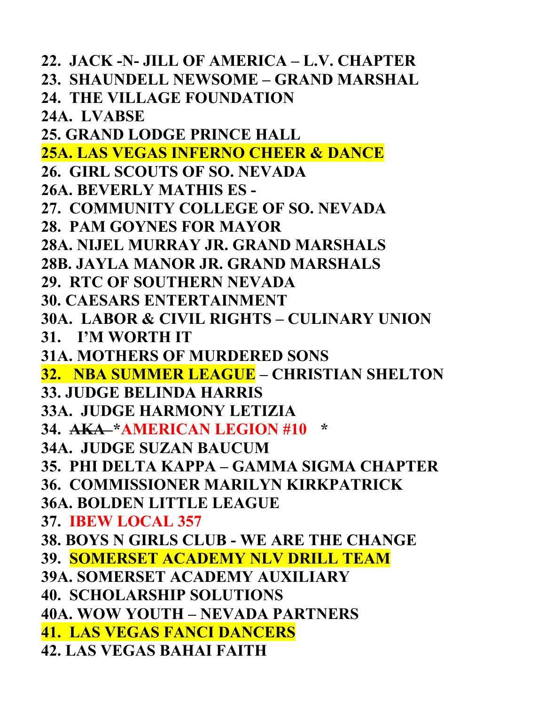**22. JACK -N- JILL OF AMERICA – L.V. CHAPTER 23. SHAUNDELL NEWSOME – GRAND MARSHAL 24. THE VILLAGE FOUNDATION 24A. LVABSE 25. GRAND LODGE PRINCE HALL 25A. LAS VEGAS INFERNO CHEER & DANCE 26. GIRL SCOUTS OF SO. NEVADA 26A. BEVERLY MATHIS ES - 27. COMMUNITY COLLEGE OF SO. NEVADA 28. PAM GOYNES FOR MAYOR 28A. NIJEL MURRAY JR. GRAND MARSHALS 28B. JAYLA MANOR JR. GRAND MARSHALS 29. RTC OF SOUTHERN NEVADA 30. CAESARS ENTERTAINMENT 30A. LABOR & CIVIL RIGHTS – CULINARY UNION 31. I'M WORTH IT 31A. MOTHERS OF MURDERED SONS 32. NBA SUMMER LEAGUE – CHRISTIAN SHELTON 33. JUDGE BELINDA HARRIS 33A. JUDGE HARMONY LETIZIA 34. AKA \*AMERICAN LEGION #10 \* 34A. JUDGE SUZAN BAUCUM 35. PHI DELTA KAPPA – GAMMA SIGMA CHAPTER 36. COMMISSIONER MARILYN KIRKPATRICK 36A. BOLDEN LITTLE LEAGUE 37. IBEW LOCAL 357 38. BOYS N GIRLS CLUB - WE ARE THE CHANGE 39. SOMERSET ACADEMY NLV DRILL TEAM 39A. SOMERSET ACADEMY AUXILIARY 40. SCHOLARSHIP SOLUTIONS 40A. WOW YOUTH – NEVADA PARTNERS 41. LAS VEGAS FANCI DANCERS 42. LAS VEGAS BAHAI FAITH**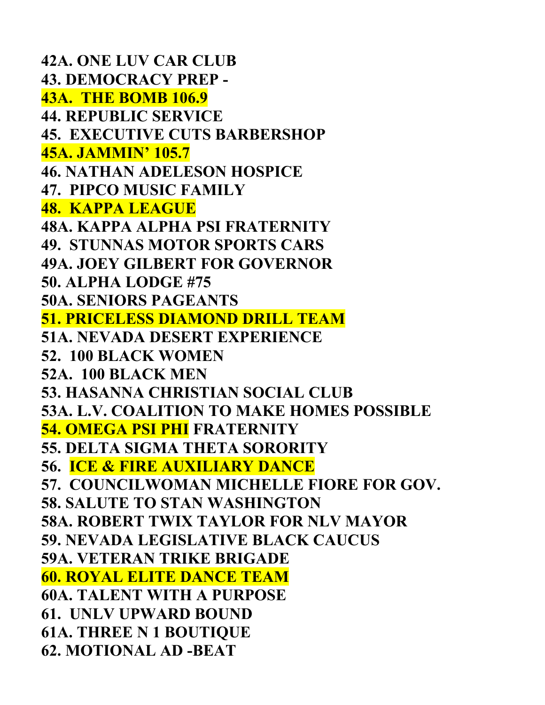**42A. ONE LUV CAR CLUB 43. DEMOCRACY PREP - 43A. THE BOMB 106.9 44. REPUBLIC SERVICE 45. EXECUTIVE CUTS BARBERSHOP 45A. JAMMIN' 105.7 46. NATHAN ADELESON HOSPICE 47. PIPCO MUSIC FAMILY 48. KAPPA LEAGUE 48A. KAPPA ALPHA PSI FRATERNITY 49. STUNNAS MOTOR SPORTS CARS 49A. JOEY GILBERT FOR GOVERNOR 50. ALPHA LODGE #75 50A. SENIORS PAGEANTS 51. PRICELESS DIAMOND DRILL TEAM 51A. NEVADA DESERT EXPERIENCE 52. 100 BLACK WOMEN 52A. 100 BLACK MEN 53. HASANNA CHRISTIAN SOCIAL CLUB 53A. L.V. COALITION TO MAKE HOMES POSSIBLE 54. OMEGA PSI PHI FRATERNITY 55. DELTA SIGMA THETA SORORITY 56. ICE & FIRE AUXILIARY DANCE 57. COUNCILWOMAN MICHELLE FIORE FOR GOV. 58. SALUTE TO STAN WASHINGTON 58A. ROBERT TWIX TAYLOR FOR NLV MAYOR 59. NEVADA LEGISLATIVE BLACK CAUCUS 59A. VETERAN TRIKE BRIGADE 60. ROYAL ELITE DANCE TEAM 60A. TALENT WITH A PURPOSE 61. UNLV UPWARD BOUND 61A. THREE N 1 BOUTIQUE 62. MOTIONAL AD -BEAT**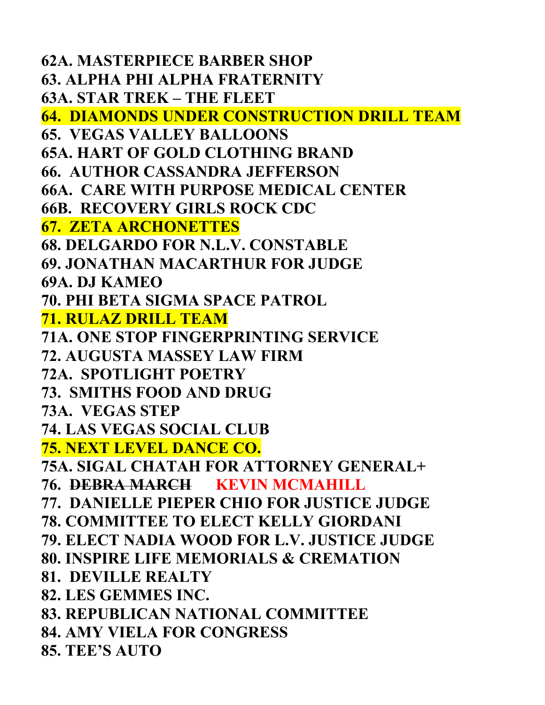**62A. MASTERPIECE BARBER SHOP 63. ALPHA PHI ALPHA FRATERNITY 63A. STAR TREK – THE FLEET 64. DIAMONDS UNDER CONSTRUCTION DRILL TEAM 65. VEGAS VALLEY BALLOONS 65A. HART OF GOLD CLOTHING BRAND 66. AUTHOR CASSANDRA JEFFERSON 66A. CARE WITH PURPOSE MEDICAL CENTER 66B. RECOVERY GIRLS ROCK CDC 67. ZETA ARCHONETTES 68. DELGARDO FOR N.L.V. CONSTABLE 69. JONATHAN MACARTHUR FOR JUDGE 69A. DJ KAMEO 70. PHI BETA SIGMA SPACE PATROL 71. RULAZ DRILL TEAM 71A. ONE STOP FINGERPRINTING SERVICE 72. AUGUSTA MASSEY LAW FIRM 72A. SPOTLIGHT POETRY 73. SMITHS FOOD AND DRUG 73A. VEGAS STEP 74. LAS VEGAS SOCIAL CLUB 75. NEXT LEVEL DANCE CO. 75A. SIGAL CHATAH FOR ATTORNEY GENERAL+ 76. DEBRA MARCH KEVIN MCMAHILL 77. DANIELLE PIEPER CHIO FOR JUSTICE JUDGE 78. COMMITTEE TO ELECT KELLY GIORDANI 79. ELECT NADIA WOOD FOR L.V. JUSTICE JUDGE 80. INSPIRE LIFE MEMORIALS & CREMATION 81. DEVILLE REALTY 82. LES GEMMES INC. 83. REPUBLICAN NATIONAL COMMITTEE 84. AMY VIELA FOR CONGRESS 85. TEE'S AUTO**